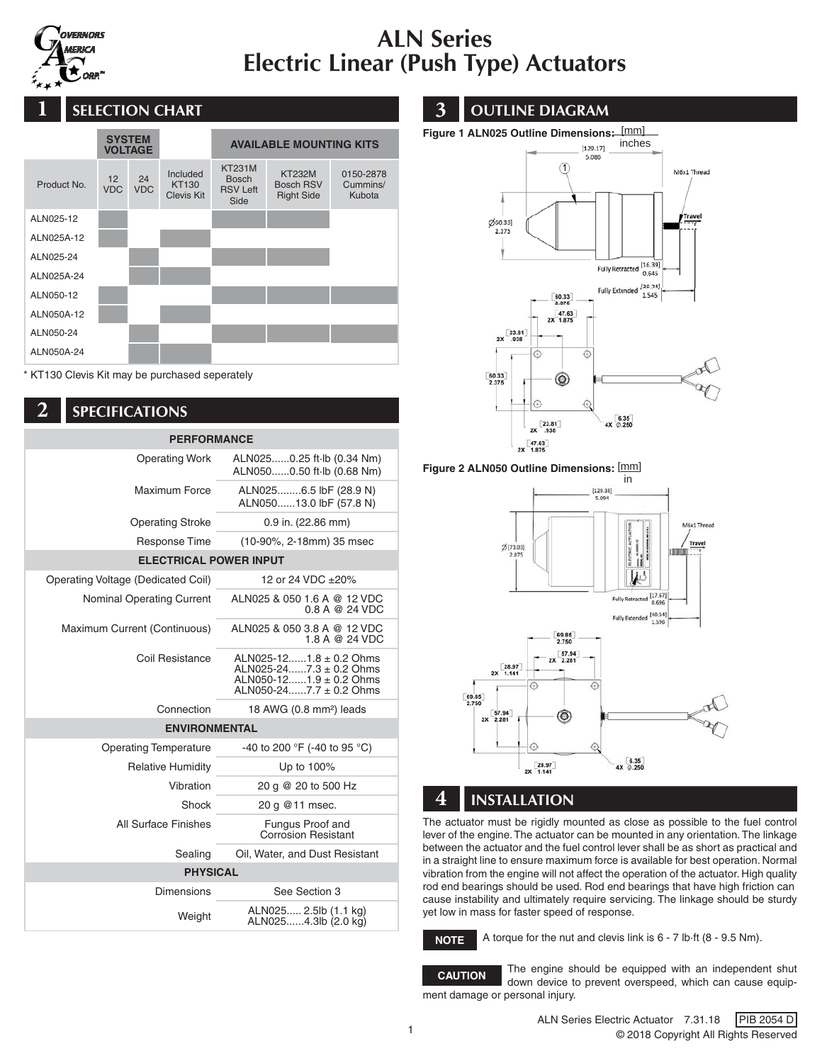

# ALN Series Electric Linear (Push Type) Actuators



KT130 Clevis Kit may be purchased seperately

### **2** SPECIFICATIONS

| <b>PERFORMANCE</b>                 |                                                                                                                          |  |  |
|------------------------------------|--------------------------------------------------------------------------------------------------------------------------|--|--|
| <b>Operating Work</b>              | ALN0250.25 ft - lb (0.34 Nm)<br>ALN0500.50 ft-lb (0.68 Nm)                                                               |  |  |
| <b>Maximum Force</b>               | ALN0256.5 lbF (28.9 N)<br>ALN05013.0 lbF (57.8 N)                                                                        |  |  |
| <b>Operating Stroke</b>            | $0.9$ in. (22.86 mm)                                                                                                     |  |  |
| <b>Response Time</b>               | (10-90%, 2-18mm) 35 msec                                                                                                 |  |  |
| <b>ELECTRICAL POWER INPUT</b>      |                                                                                                                          |  |  |
| Operating Voltage (Dedicated Coil) | 12 or 24 VDC ±20%                                                                                                        |  |  |
| <b>Nominal Operating Current</b>   | ALN025 & 050 1.6 A @ 12 VDC<br>$0.8$ A @ 24 VDC                                                                          |  |  |
| Maximum Current (Continuous)       | ALN025 & 050 3.8 A @ 12 VDC<br>1.8 A @ 24 VDC                                                                            |  |  |
| Coil Resistance                    | ALN025-121.8 $\pm$ 0.2 Ohms<br>ALN025-247.3 $\pm$ 0.2 Ohms<br>ALN050-121.9 $\pm$ 0.2 Ohms<br>ALN050-247.7 $\pm$ 0.2 Ohms |  |  |
| Connection                         | 18 AWG (0.8 mm <sup>2</sup> ) leads                                                                                      |  |  |
| <b>ENVIRONMENTAL</b>               |                                                                                                                          |  |  |
| <b>Operating Temperature</b>       | -40 to 200 °F (-40 to 95 °C)                                                                                             |  |  |
| <b>Relative Humidity</b>           | Up to 100%                                                                                                               |  |  |
| Vibration                          | 20 g @ 20 to 500 Hz                                                                                                      |  |  |
| Shock                              | 20 g @ 11 msec.                                                                                                          |  |  |
| All Surface Finishes               | Fungus Proof and<br><b>Corrosion Resistant</b>                                                                           |  |  |
| Sealing                            | Oil, Water, and Dust Resistant                                                                                           |  |  |
| <b>PHYSICAL</b>                    |                                                                                                                          |  |  |
| Dimensions                         | See Section 3                                                                                                            |  |  |
| Weight                             | ALN025 2.5lb (1.1 kg)<br>ALN0254.3lb (2.0 kg)                                                                            |  |  |

## **1 1 1 3** OUTLINE DIAGRAM





**Figure 2 ALN050 Outline Dimensions:**  [mm]



### **4** INSTALLATION

The actuator must be rigidly mounted as close as possible to the fuel control lever of the engine. The actuator can be mounted in any orientation. The linkage between the actuator and the fuel control lever shall be as short as practical and in a straight line to ensure maximum force is available for best operation. Normal vibration from the engine will not affect the operation of the actuator. High quality rod end bearings should be used. Rod end bearings that have high friction can cause instability and ultimately require servicing. The linkage should be sturdy yet low in mass for faster speed of response.



A torque for the nut and clevis link is 6 - 7 lb·ft (8 - 9.5 Nm).



The engine should be equipped with an independent shut down device to prevent overspeed, which can cause equipment damage or personal injury.